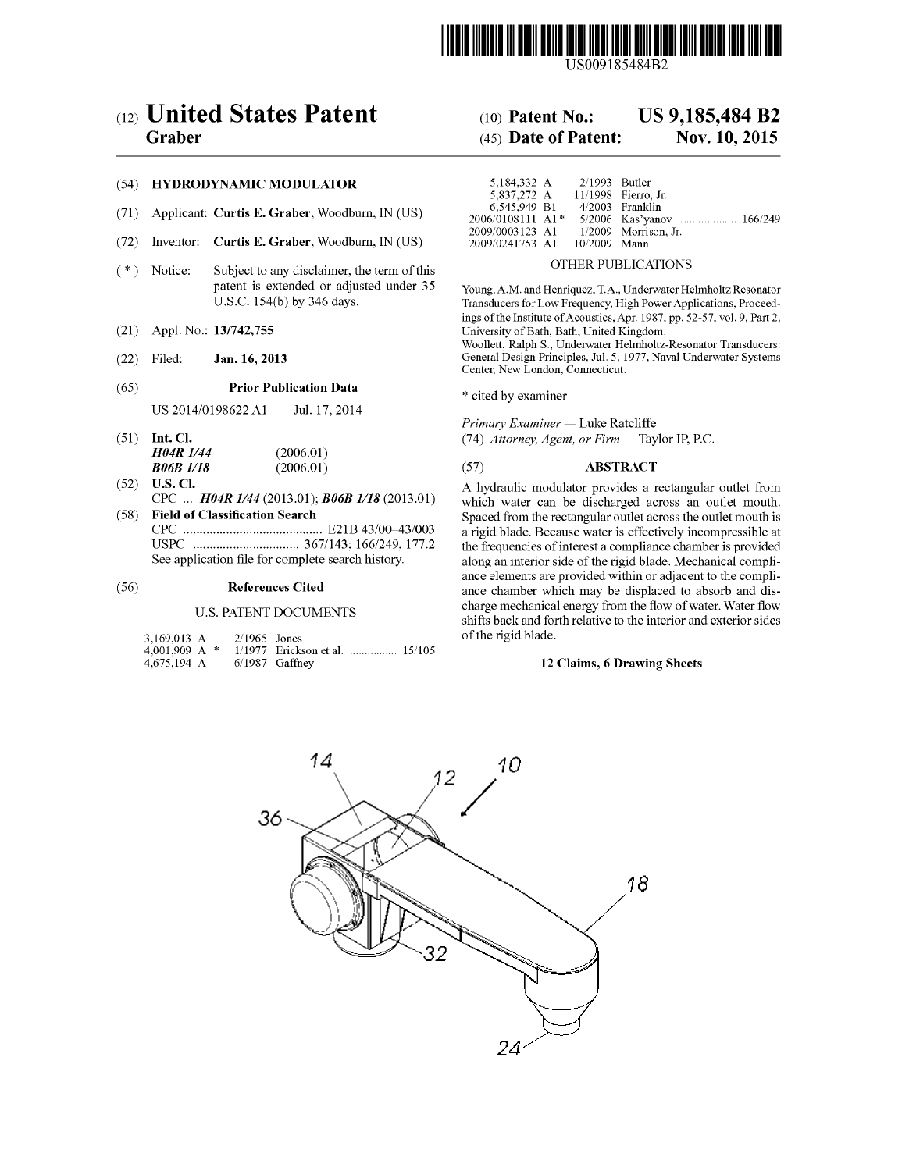

USOO9185484B2

# (54) HYDRODYNAMIC MODULATOR

- (71) Applicant: Curtis E. Graber, Woodburn, IN (US)
- (72) Inventor: Curtis E. Graber, Woodburn, IN (US)
- (\*) Notice: Subject to any disclaimer, the term of this OTHER PUBLICATIONS<br>patent is extended or adjusted under 35 Young A.M. and Henriquez, T.A., Underwater He
- 
- 

# (65) **Prior Publication Data** \* cited by examiner

US 2014/0198622 A1 Jul. 17, 2014

- (51) Int. Cl.  $H04R1/44$  (2006.01) (74) Attorney, Agent, or Firm Taylor IP, P.C. **H04R 1/44** (2006.01)<br>**B06B 1/18** (2006.01)
- 
- 

# U.S. PATENT DOCUMENTS

| 3,169,013 A     | $2/1965$ Jones |                                |  |
|-----------------|----------------|--------------------------------|--|
| 4.001.909 A $*$ |                | 1/1977 Erickson et al.  15/105 |  |
| 4,675,194 A     |                | $6/1987$ Gaffney               |  |

# (12) United States Patent (10) Patent No.: US 9,185,484 B2

# Graber (45) Date of Patent: Nov. 10, 2015

| 5.184.332 A                    | $2/1993$ Butler |                        |  |
|--------------------------------|-----------------|------------------------|--|
| 5.837.272 A                    |                 | 11/1998 Fierro. Jr.    |  |
| 6.545.949 B1                   |                 | 4/2003 Franklin        |  |
| $2006/0108111$ A1 <sup>*</sup> |                 |                        |  |
| 2009/0003123 A1                |                 | $1/2009$ Morrison. Jr. |  |
| 2009/0241753 A1                | 10/2009 Mann    |                        |  |

patent is extended or adjusted under 35 Young, A.M. and Henriquez, T.A., Underwater Helmholtz Resonator U.S.C. 154(b) by 346 days. Transducers for Low Frequency, High Power Applications, Proceed-Transducers for Low Frequency, High Power Applications, Proceedings of the Institute of Acoustics, Apr. 1987, pp. 52-57, vol. 9, Part 2, (21) Appl. No.: 13/742,755 University of Bath, Bath, United Kingdom.

Woollett, Ralph S., Underwater Helmholtz-Resonator Transducers: (22) Filed: Jan. 16, 2013 General Design Principles, Jul. 5, 1977, Naval Underwater Systems Center, New London, Connecticut.

Primary Examiner — Luke Ratcliffe

# (57) **ABSTRACT**

(52) U.S. Cl.  $E = \frac{PQ}{Q}$  CPC ...  $H\theta 4R \frac{1}{4}$  (2013.01);  $B\theta 6B \frac{1}{18}$  (2013.01) A hydraulic modulator provides a rectangular outlet from CPC... **H04R 1/44** (2013.01); **B06B 1/18** (2013.01) which water can be discharged across an outlet mouth.<br>(58) Field of Classification Search Spaced from the rectangular outlet across the outlet mouth is (58) Field of Classification Search Spaced from the rectangular outlet across the outlet mouth is CPC - - - - - - - - - - - - - - - - - - - - - - - - - - - - - - - - - - - - - - - - - - E21B 43FOO 43/OO3 a rigid blade. Because Water is effectively incompressible at USPC ................................ 367/143; 166/249, 177.2 the frequencies of interesta compliance chamber is provided along an interior side of the rigid blade. Mechanical compliance elements are provided within or adjacent to the compli (56) References Cited ance chamber which may be displaced to absorb and discharge mechanical energy from the flow of water. Water flow shifts back and forth relative to the interior and exterior sides of the rigid blade.

### 12 Claims, 6 Drawing Sheets

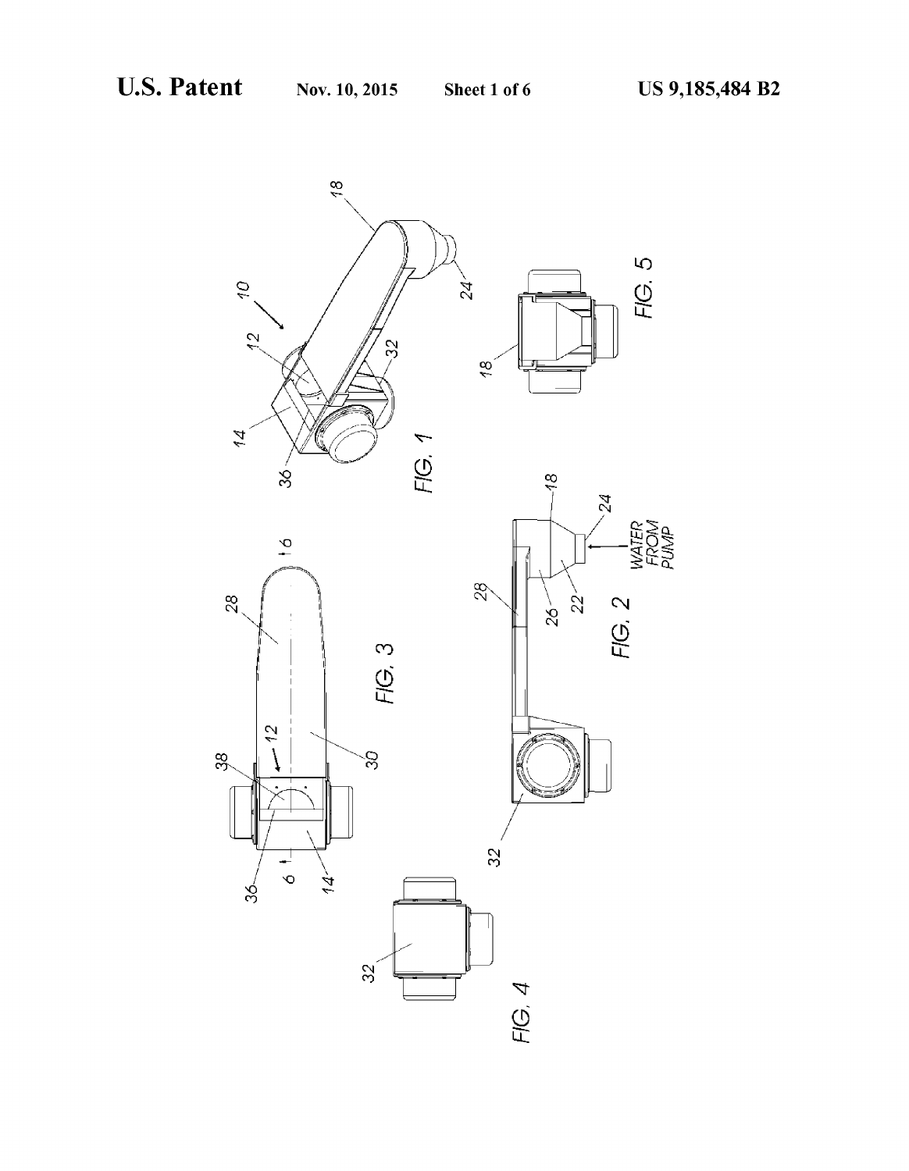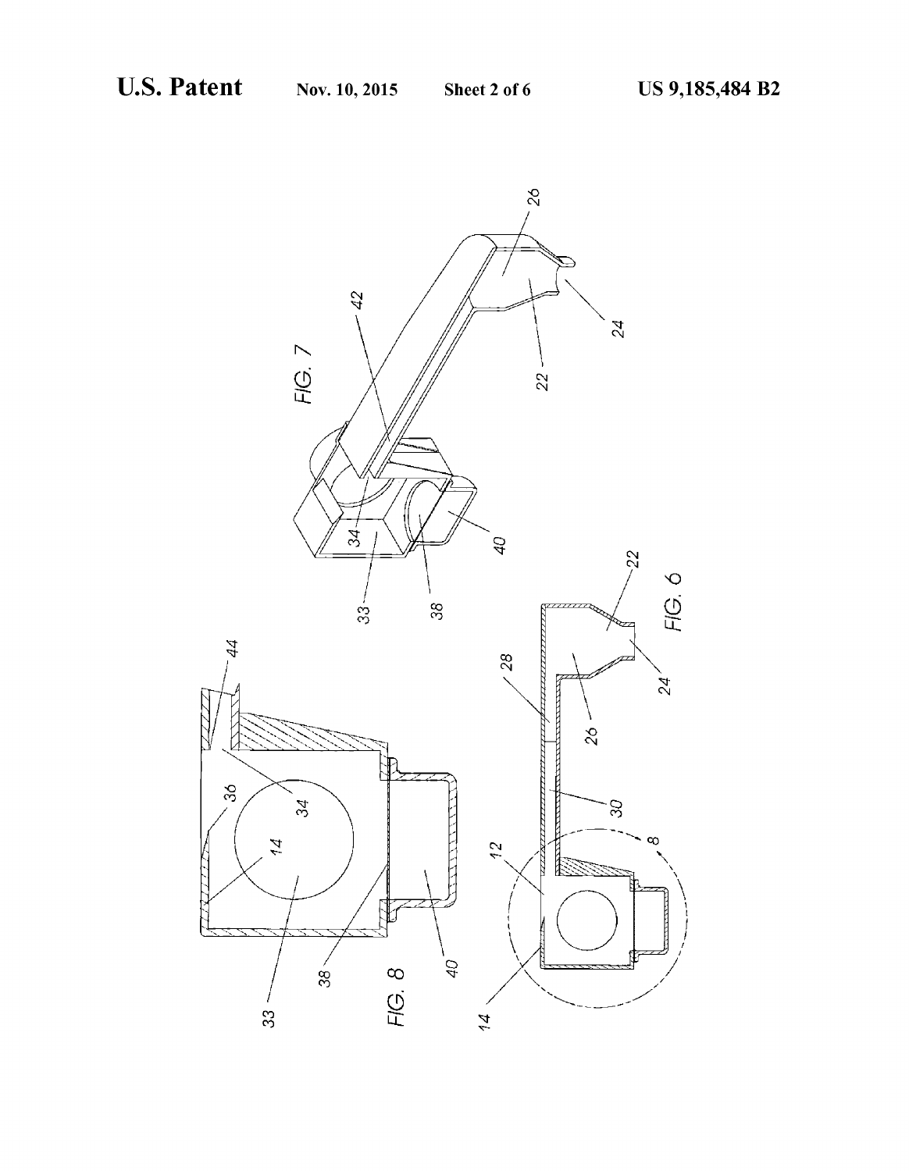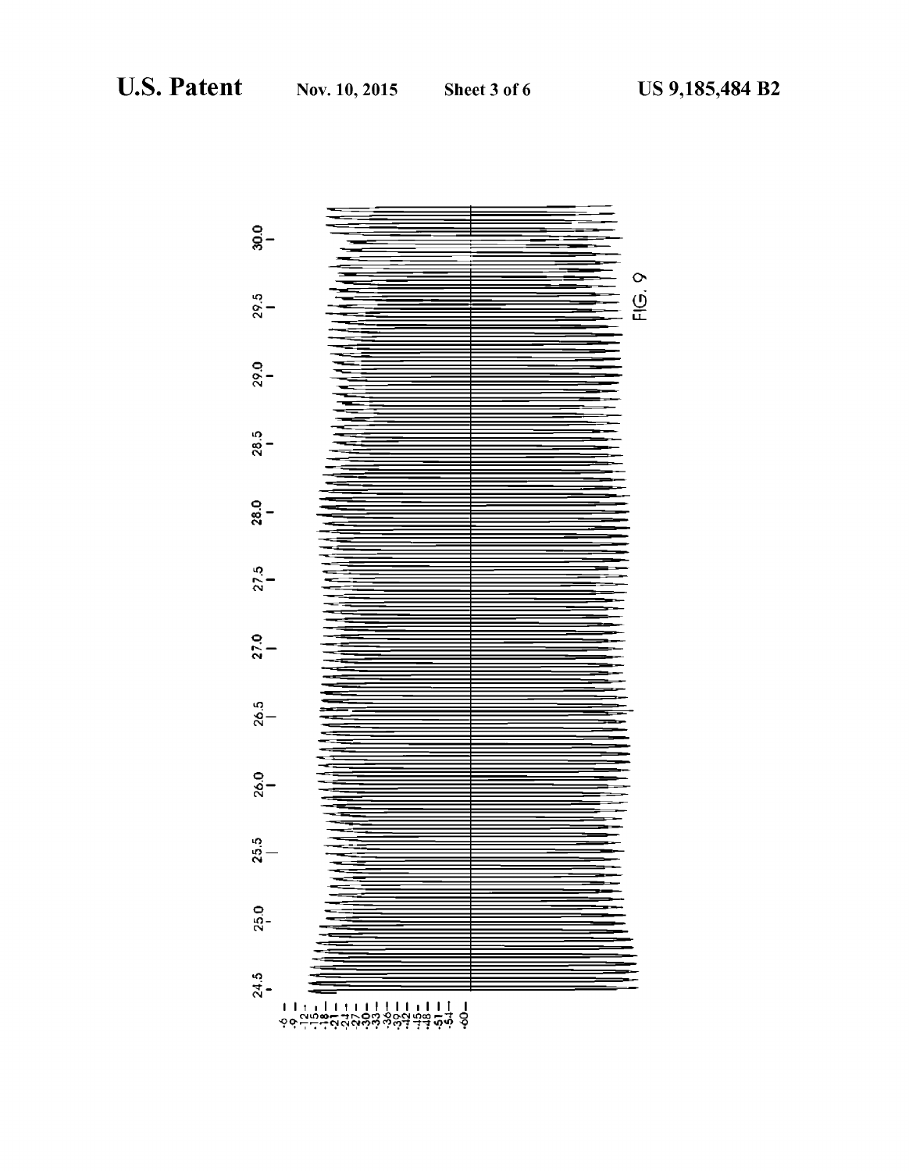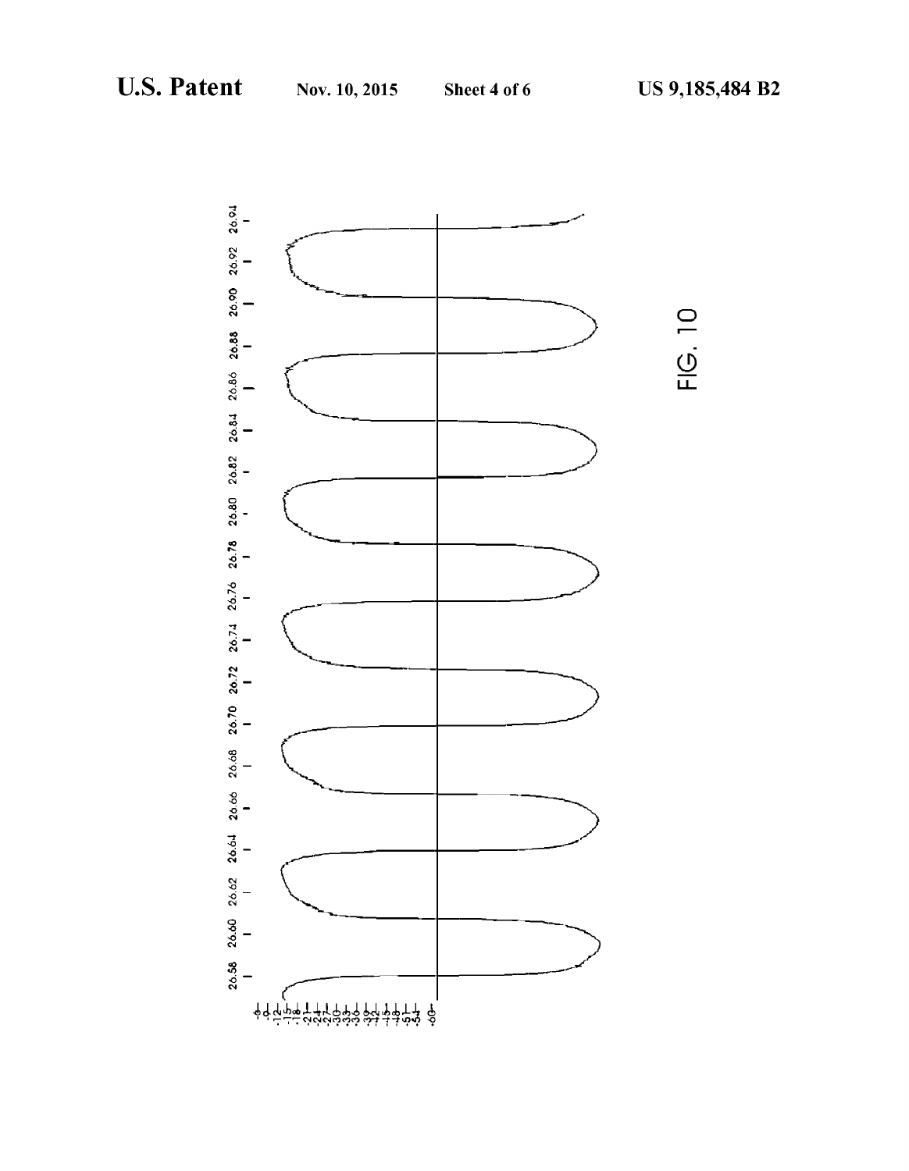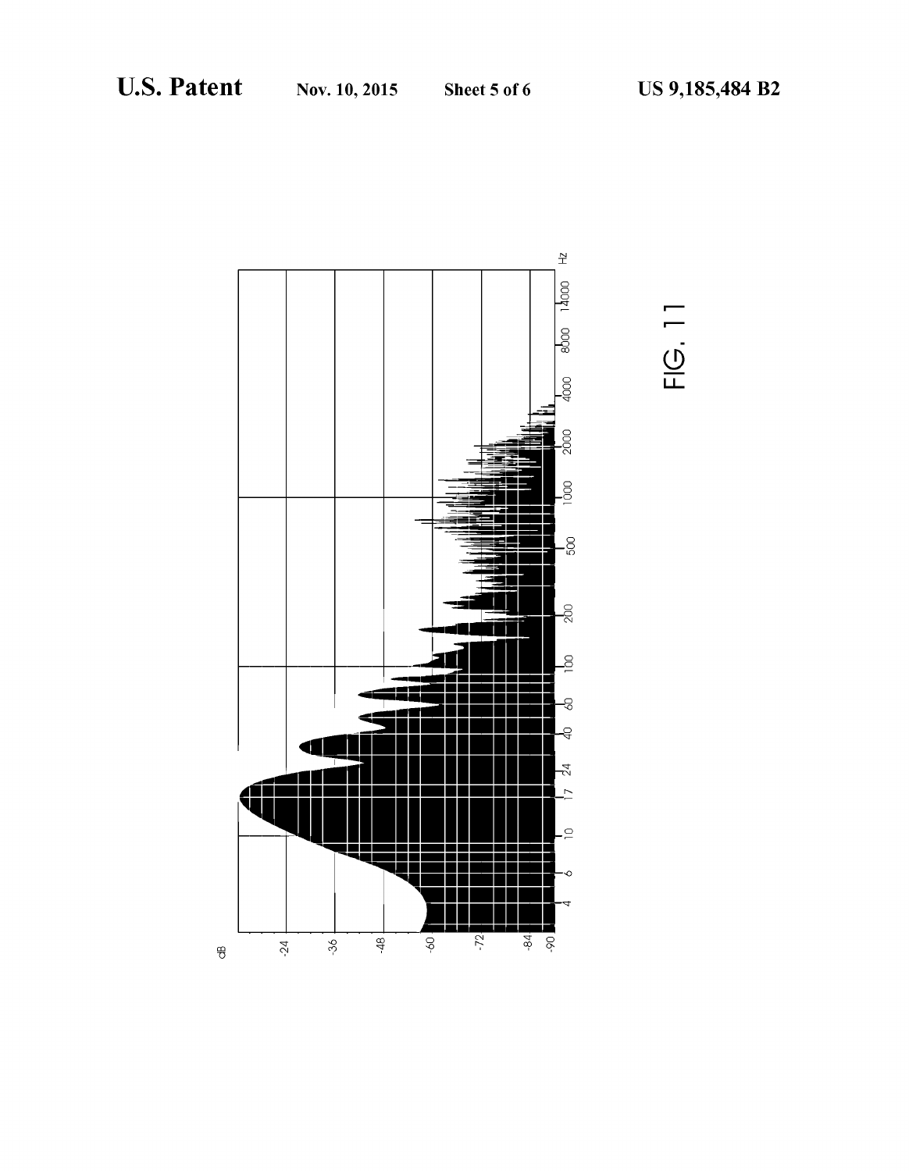

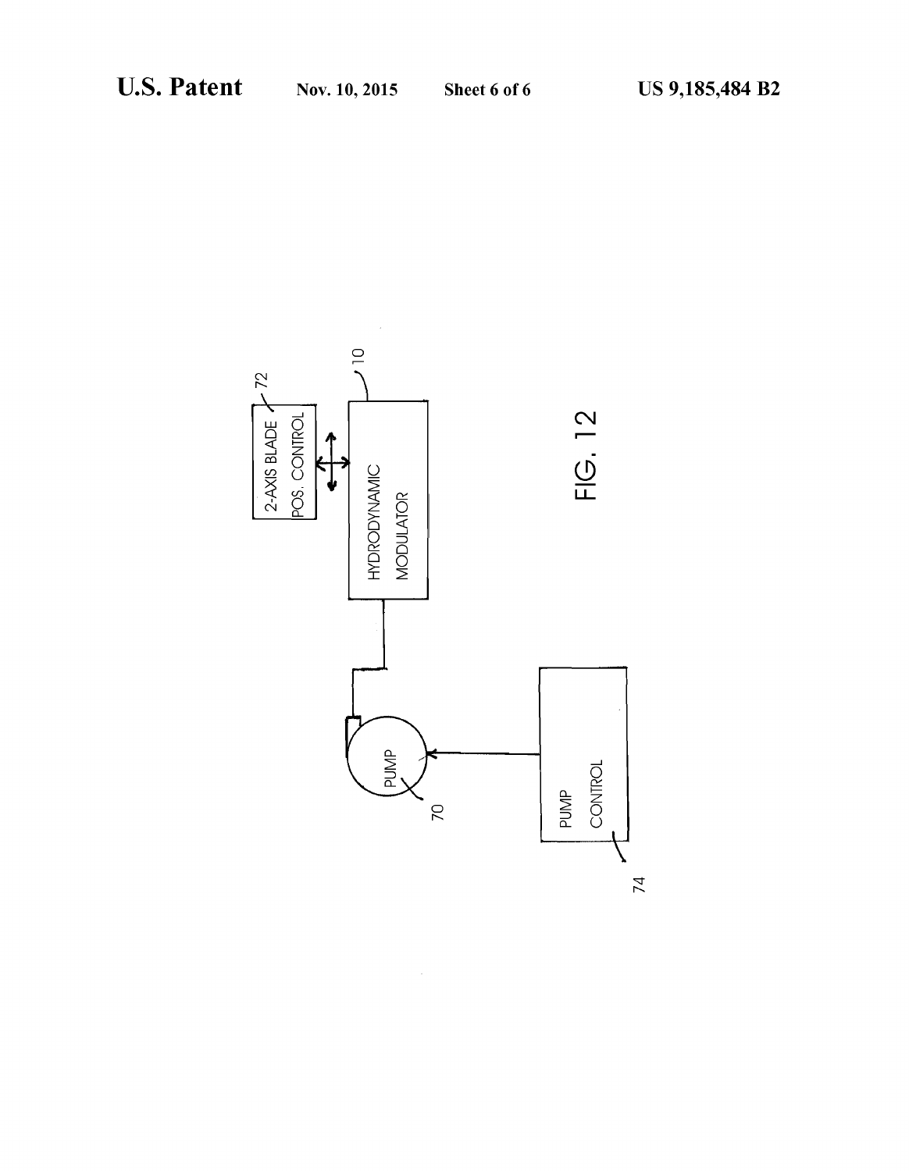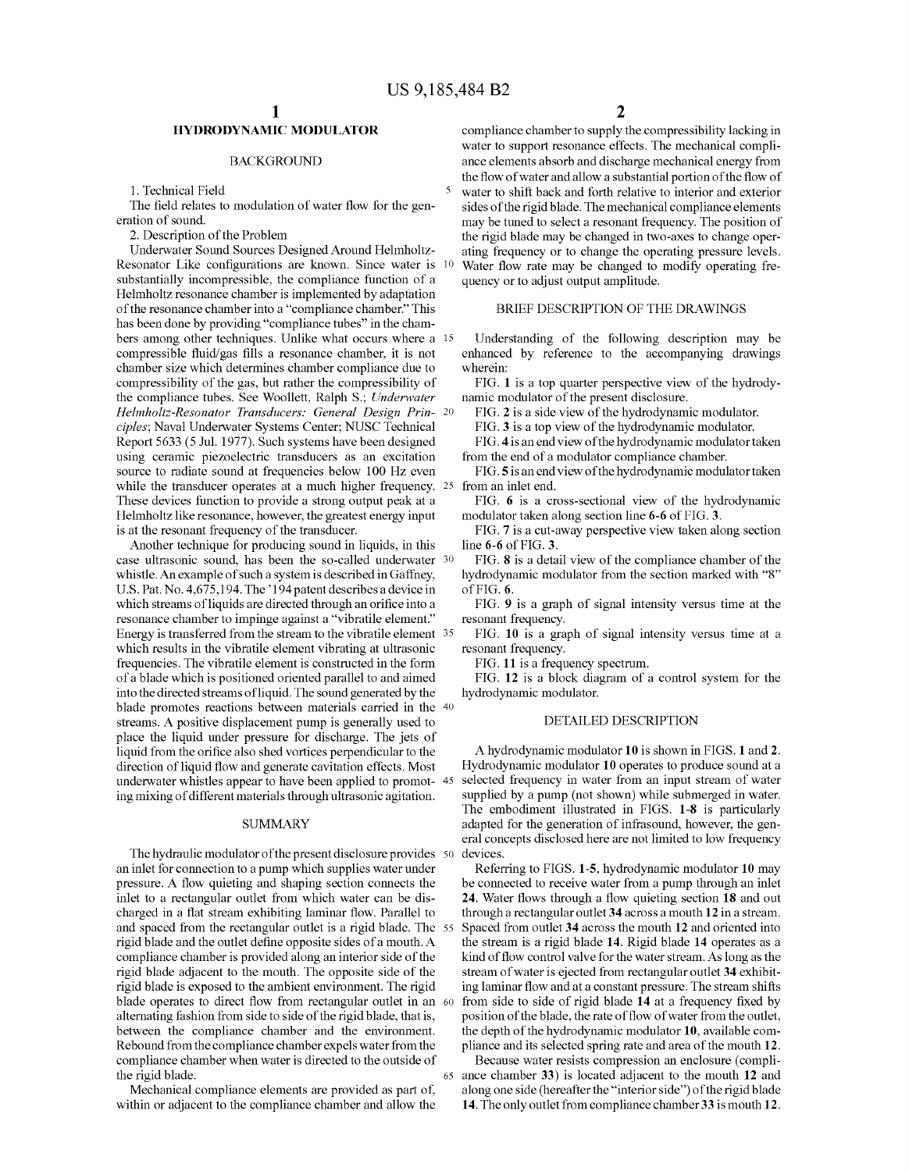# HYDRODYNAMIC MODULATOR

# BACKGROUND

1. Technical Field

The field relates to modulation of water flow for the generation of sound.

2. Description of the Problem

Underwater Sound Sources Designed Around Helmholtz Resonator Like configurations are known. Since water is 10 substantially incompressible, the compliance function of a Helmholtz resonance chamber is implemented by adaptation of the resonance chamber into a "compliance chamber." This has been done by providing "compliance tubes" in the chambers among other techniques. Unlike what occurs where a 15 compressible fluid/gas fills a resonance chamber, it is not chamber size which determines chamber compliance due to compressibility of the gas, but rather the compressibility of the compliance tubes. See Woollett, Ralph S.; Underwater Helmholtz-Resonator Transducers: General Design Prin ciples; Naval Underwater Systems Center; NUSC Technical Report 5633 (5 Jul. 1977). Such systems have been designed using ceramic piezoelectric transducers as an excitation source to radiate sound at frequencies below 100 Hz even while the transducer operates at a much higher frequency. 25 from an inlet end. These devices function to provide a strong output peak at a Helmholtz like resonance, however, the greatest energy input is at the resonant frequency of the transducer.

Another technique for producing sound in liquids, in this case ultrasonic sound, has been the so-called underwater <sup>30</sup> whistle. An example of such a system is described in Gaffney, U.S. Pat. No. 4,675,194. The '194 patent describes a device in which streams of liquids are directed through an orifice into a resonance chamber to impinge against a "vibratile element." Energy is transferred from the stream to the vibratile element 35 which results in the vibratile element vibrating at ultrasonic frequencies. The vibratile element is constructed in the form of a blade which is positioned oriented parallel to and aimed into the directed streams of liquid. The sound generated by the blade promotes reactions between materials carried in the 40 streams. A positive displacement pump is generally used to place the liquid under pressure for discharge. The jets of liquid from the orifice also shed vortices perpendicular to the direction of liquid flow and generate cavitation effects. Most ing mixing of different materials through ultrasonic agitation. underwater whistles appear to have been applied to promot-45

### SUMMARY

The hydraulic modulator of the present disclosure provides 50 an inlet for connection to a pump which Supplies water under pressure. A flow quieting and shaping section connects the inlet to a rectangular outlet from which water can be dis charged in a flat stream exhibiting laminar flow. Parallel to and spaced from the rectangular outlet is a rigid blade. The 55 rigid blade and the outlet define opposite sides of a mouth. A compliance chamber is provided along an interior side of the rigid blade adjacent to the mouth. The opposite side of the rigid blade is exposed to the ambient environment. The rigid blade operates to direct flow from rectangular outlet in an 60 alternating fashion from side to side of the rigid blade, that is, between the compliance chamber and the environment. Rebound from the compliance chamber expels water from the compliance chamber when water is directed to the outside of the rigid blade. 65

Mechanical compliance elements are provided as part of within or adjacent to the compliance chamber and allow the compliance chamber to supply the compressibility lacking in water to support resonance effects. The mechanical compliance elements absorb and discharge mechanical energy from the flow of water and allow a substantial portion of the flow of water to shift back and forth relative to interior and exterior sides of the rigid blade. The mechanical compliance elements may be tuned to select a resonant frequency. The position of the rigid blade may be changed in two-axes to change operating frequency or to change the operating pressure levels. Water flow rate may be changed to modify operating fre quency or to adjust output amplitude.

# BRIEF DESCRIPTION OF THE DRAWINGS

Understanding of the following description may be enhanced by reference to the accompanying drawings wherein:

FIG. 1 is a top quarter perspective view of the hydrody namic modulator of the present disclosure.

FIG. 2 is a side view of the hydrodynamic modulator.

FIG. 3 is a top view of the hydrodynamic modulator.

FIG. 4 is an end view of the hydrodynamic modulator taken

from the end of a modulator compliance chamber.

FIG.5 is an end view of the hydrodynamic modulator taken

FIG. 6 is a cross-sectional view of the hydrodynamic modulator taken along section line 6-6 of FIG. 3.

FIG. 7 is a cut-away perspective view taken along section line 6-6 of FIG. 3.

FIG. 8 is a detail view of the compliance chamber of the hydrodynamic modulator from the section marked with "8" of FIG. 6.

FIG. 9 is a graph of signal intensity versus time at the resonant frequency.

FIG. 10 is a graph of signal intensity versus time at a resonant frequency.

FIG. 11 is a frequency spectrum.

FIG. 12 is a block diagram of a control system for the hydrodynamic modulator.

## DETAILED DESCRIPTION

A hydrodynamic modulator 10 is shown in FIGS. 1 and 2. Hydrodynamic modulator 10 operates to produce sound at a selected frequency in water from an input stream of water supplied by a pump (not shown) while submerged in water. The embodiment illustrated in FIGS. 1-8 is particularly adapted for the generation of infrasound, however, the gen eral concepts disclosed here are not limited to low frequency devices.

Referring to FIGS. 1-5, hydrodynamic modulator 10 may be connected to receive water from a pump through an inlet 24. Water flows through a flow quieting section 18 and out through a rectangular outlet 34 across a mouth 12 in a stream. Spaced from outlet 34 across the mouth 12 and oriented into the stream is a rigid blade 14. Rigid blade 14 operates as a kind of flow control valve for the water stream. As long as the stream of water is ejected from rectangular outlet 34 exhibit ing laminar flow and at a constant pressure. The stream shifts from side to side of rigid blade 14 at a frequency fixed by position of the blade, the rate of flow of water from the outlet, the depth of the hydrodynamic modulator 10, available com pliance and its selected spring rate and area of the mouth 12.

Because water resists compression an enclosure (compli ance chamber 33) is located adjacent to the mouth 12 and along one side (hereafter the "interior side') of the rigid blade 14. The only outlet from compliance chamber 33 is mouth 12.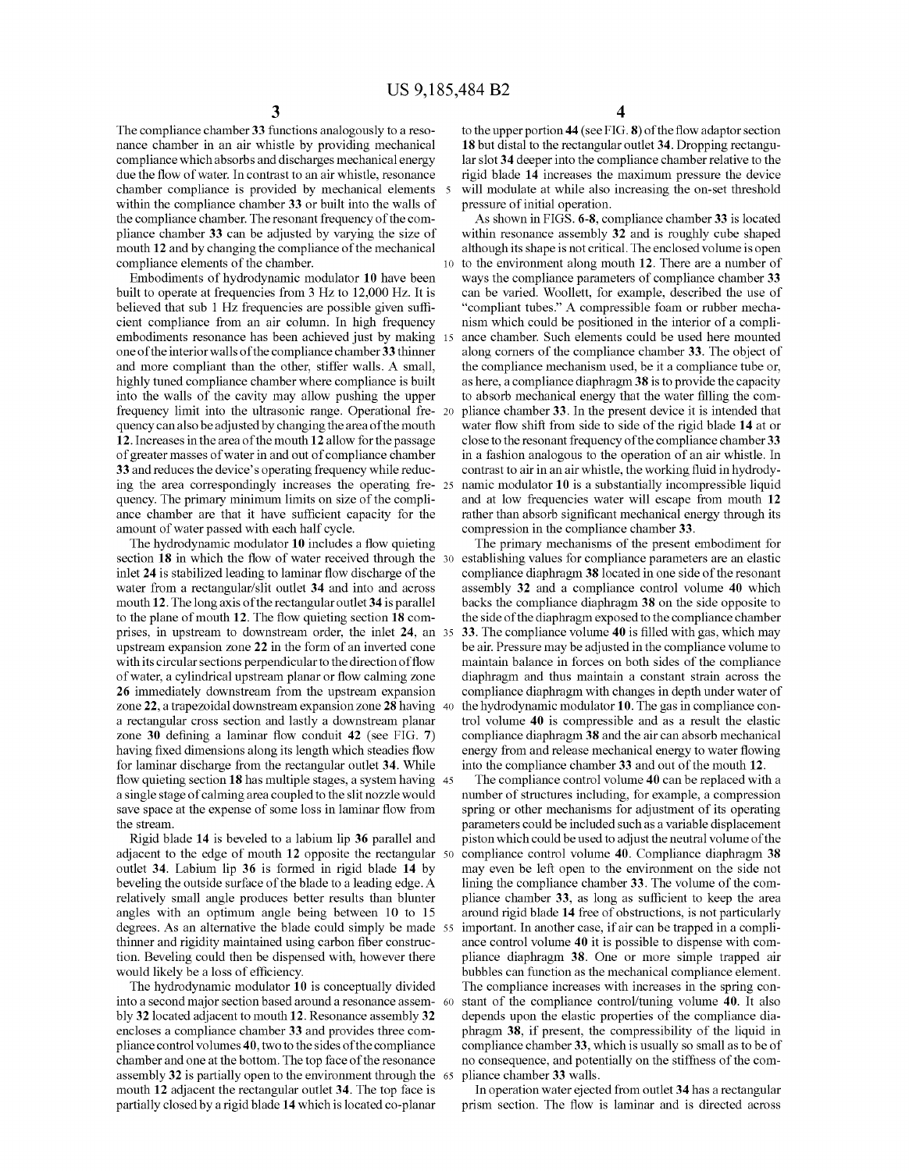10

The compliance chamber 33 functions analogously to a reso nance chamber in an air whistle by providing mechanical compliance which absorbs and discharges mechanical energy due the flow of water. In contrast to an air whistle, resonance chamber compliance is provided by mechanical elements 5 within the compliance chamber 33 or built into the walls of the compliance chamber. The resonant frequency of the com pliance chamber 33 can be adjusted by varying the size of mouth 12 and by changing the compliance of the mechanical compliance elements of the chamber.

Embodiments of hydrodynamic modulator 10 have been built to operate at frequencies from 3 Hz to 12,000 Hz. It is believed that sub 1 Hz frequencies are possible given suffi cient compliance from an air column. In high frequency embodiments resonance has been achieved just by making 15 one of the interior walls of the compliance chamber 33 thinner highly tuned compliance chamber where compliance is built into the walls of the cavity may allow pushing the upper frequency limit into the ultrasonic range. Operational fre quency can also be adjusted by changing the area of the mouth 12.Increases in the area of the mouth 12 allow for the passage of greater masses of water in and out of compliance chamber 33 and reduces the device's operating frequency while reduc ing the area correspondingly increases the operating fre- 25 quency. The primary minimum limits on size of the compli ance chamber are that it have sufficient capacity for the amount of water passed with each half cycle.

The hydrodynamic modulator 10 includes a flow quieting section **18** in which the flow of water received through the 30 inlet 24 is stabilized leading to laminar flow discharge of the water from a rectangular/slit outlet 34 and into and across mouth 12. The long axis of the rectangular outlet 34 is parallel to the plane of mouth 12. The flow quieting section 18 com prises, in upstream to downstream order, the inlet 24, an 35 upstream expansion Zone 22 in the form of an inverted cone with its circular sections perpendicular to the direction offlow of water, a cylindrical upstream planar or flow calming Zone 26 immediately downstream from the upstream expansion Zone 22, a trapezoidal downstream expansion Zone 28 having 40 a rectangular cross section and lastly a downstream planar Zone 30 defining a laminar flow conduit 42 (see FIG. 7) having fixed dimensions along its length which steadies flow for laminar discharge from the rectangular outlet 34. While flow quieting section 18 has multiple stages, a system having 45 a single stage of calming area coupled to the slit nozzle would save space at the expense of some loss in laminar flow from the stream.

Rigid blade 14 is beveled to a labium lip 36 parallel and adjacent to the edge of mouth 12 opposite the rectangular 50 outlet 34. Labium lip 36 is formed in rigid blade 14 by beveling the outside surface of the blade to a leading edge. A relatively small angle produces better results than blunter angles with an optimum angle being between 10 to 15 degrees. As an alternative the blade could simply be made 55 thinner and rigidity maintained using carbon fiber construc tion. Beveling could then be dispensed with, however there would likely be a loss of efficiency.

The hydrodynamic modulator 10 is conceptually divided into a second major section based around a resonance assem 60 bly 32 located adjacent to mouth 12. Resonance assembly 32 encloses a compliance chamber 33 and provides three com pliance control volumes 40, two to the sides of the compliance chamber and one at the bottom. The top face of the resonance assembly 32 is partially open to the environment through the 65 mouth 12 adjacent the rectangular outlet 34. The top face is partially closed by a rigid blade 14 which is located co-planar

4

to the upper portion 44 (see FIG. 8) of the flow adaptor section 18 but distal to the rectangular outlet 34. Dropping rectangular slot 34 deeper into the compliance chamber relative to the rigid blade 14 increases the maximum pressure the device will modulate at while also increasing the on-set threshold pressure of initial operation.

As shown in FIGS. 6-8, compliance chamber 33 is located within resonance assembly 32 and is roughly cube shaped although its shape is not critical. The enclosed Volume is open to the environment along mouth 12. There are a number of ways the compliance parameters of compliance chamber 33 can be varied. Woollett, for example, described the use of "compliant tubes." A compressible foam or rubber mecha ance chamber. Such elements could be used here mounted along corners of the compliance chamber 33. The object of the compliance mechanism used, be it a compliance tube or, as here, a compliance diaphragm38 is to provide the capacity to absorb mechanical energy that the water filling the com pliance chamber 33. In the present device it is intended that water flow shift from side to side of the rigid blade 14 at or close to the resonant frequency of the compliance chamber 33 in a fashion analogous to the operation of an air whistle. In contrast to air in an air whistle, the working fluid in hydrodynamic modulator 10 is a substantially incompressible liquid and at low frequencies water will escape from mouth 12 rather than absorb significant mechanical energy through its compression in the compliance chamber 33.

The primary mechanisms of the present embodiment for establishing values for compliance parameters are an elastic compliance diaphragm 38 located in one side of the resonant assembly 32 and a compliance control volume 40 which backs the compliance diaphragm 38 on the side opposite to the side of the diaphragm exposed to the compliance chamber 33. The compliance volume 40 is filled with gas, which may be air. Pressure may be adjusted in the compliance volume to maintain balance in forces on both sides of the compliance diaphragm and thus maintain a constant strain across the compliance diaphragm with changes in depth under water of the hydrodynamic modulator 10. The gas in compliance con trol volume 40 is compressible and as a result the elastic compliance diaphragm 38 and the air can absorb mechanical energy from and release mechanical energy to water flowing into the compliance chamber 33 and out of the mouth 12.

The compliance control volume 40 can be replaced with a number of structures including, for example, a compression spring or other mechanisms for adjustment of its operating parameters could be included such as a variable displacement piston which could be used to adjust the neutral volume of the compliance control volume 40. Compliance diaphragm 38 may even be left open to the environment on the side not lining the compliance chamber 33. The volume of the com pliance chamber 33, as long as sufficient to keep the area around rigid blade 14 free of obstructions, is not particularly important. In another case, if air can be trapped in a compliance control volume 40 it is possible to dispense with com pliance diaphragm 38. One or more simple trapped air bubbles can function as the mechanical compliance element. The compliance increases with increases in the spring con stant of the compliance control/tuning volume 40. It also depends upon the elastic properties of the compliance dia phragm 38, if present, the compressibility of the liquid in compliance chamber 33, which is usually so small as to be of no consequence, and potentially on the stiffness of the com pliance chamber 33 walls.

In operation water ejected from outlet 34 has a rectangular prism section. The flow is laminar and is directed across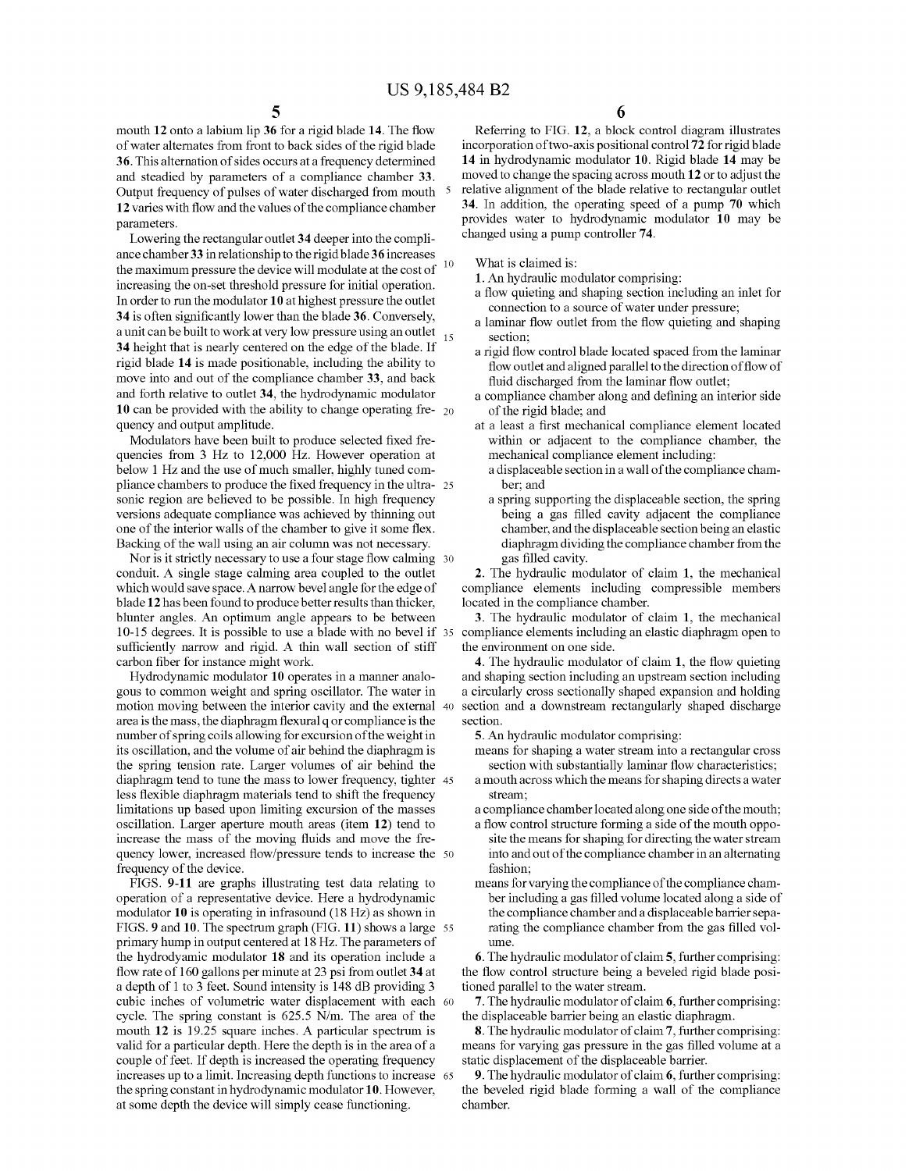mouth 12 onto a labium lip 36 for a rigid blade 14. The flow of water alternates from front to back sides of the rigid blade 36. This alternation of sides occurs at a frequency determined and steadied by parameters of a compliance chamber 33. Output frequency of pulses of water discharged from mouth 5 12 varies with flow and the values of the compliance chamber parameters.

Lowering the rectangular outlet 34 deeper into the compli ance chamber 33 in relationship to the rigid blade 36 increases the maximum pressure the device will modulate at the cost of increasing the on-set threshold pressure for initial operation. In order to run the modulator 10 at highest pressure the outlet 34 is often significantly lower than the blade 36. Conversely, a unit can be built to work at very low pressure using an outlet 34 height that is nearly centered on the edge of the blade. If rigid blade 14 is made positionable, including the ability to move into and out of the compliance chamber 33, and back and forth relative to outlet 34, the hydrodynamic modulator 10 can be provided with the ability to change operating fre-  $_{20}$ quency and output amplitude. 10 15

Modulators have been built to produce selected fixed fre quencies from 3 Hz to 12,000 Hz. However operation at below 1 Hz and the use of much smaller, highly tuned com phance chambers to produce the fixed frequency in the ultra- 25 sonic region are believed to be possible. In high frequency versions adequate compliance was achieved by thinning out one of the interior walls of the chamber to give it some flex. Backing of the wall using an air column was not necessary.

Nor is it strictly necessary to use a four stage flow calming 30 conduit. A single stage calming area coupled to the outlet which would save space. A narrow bevel angle for the edge of blade 12 has been found to produce better results than thicker, blunter angles. An optimum angle appears to be between 10-15 degrees. It is possible to use a blade with no bevel if 35 sufficiently narrow and rigid. A thin wall section of stiff carbon fiber for instance might work.

Hydrodynamic modulator 10 operates in a manner analo gous to common weight and spring oscillator. The water in motion moving between the interior cavity and the external 40 area is the mass, the diaphragm flexural q or compliance is the number of spring coils allowing for excursion of the weight in its oscillation, and the Volume of air behind the diaphragm is the spring tension rate. Larger Volumes of air behind the diaphragm tend to tune the mass to lower frequency, tighter 45 less flexible diaphragm materials tend to shift the frequency limitations up based upon limiting excursion of the masses oscillation. Larger aperture mouth areas (item 12) tend to increase the mass of the moving fluids and move the fre quency lower, increased flow/pressure tends to increase the 50 frequency of the device.

FIGS. 9-11 are graphs illustrating test data relating to operation of a representative device. Here a hydrodynamic modulator 10 is operating in infrasound (18 Hz) as shown in primary hump in output centered at 18 Hz. The parameters of the hydrodyamic modulator 18 and its operation include a flow rate of 160 gallons per minute at 23 psi from outlet 34 at a depth of 1 to 3 feet. Sound intensity is 148 dB providing 3 cubic inches of volumetric water displacement with each 60 cycle. The spring constant is 625.5 N/m. The area of the mouth 12 is 19.25 square inches. A particular spectrum is valid for a particular depth. Here the depth is in the area of a couple of feet. If depth is increased the operating frequency increases up to a limit. Increasing depth functions to increase 65 the spring constant in hydrodynamic modulator 10. However, at some depth the device will simply cease functioning. FIGS. 9 and 10. The spectrum graph (FIG. 11) shows a large 55

Referring to FIG. 12, a block control diagram illustrates incorporation of two-axis positional control 72 for rigid blade 14 in hydrodynamic modulator 10. Rigid blade 14 may be moved to change the spacing across mouth 12 or to adjust the relative alignment of the blade relative to rectangular outlet 34. In addition, the operating speed of a pump 70 which provides water to hydrodynamic modulator 10 may be changed using a pump controller 74.

What is claimed is:

1. An hydraulic modulator comprising:

- a flow quieting and shaping section including an inlet for connection to a source of water under pressure;
- a laminar flow outlet from the flow quieting and shaping section;
- a rigid flow control blade located spaced from the laminar flow outlet and aligned parallel to the direction offlow of fluid discharged from the laminar flow outlet;
- a compliance chamber along and defining an interior side of the rigid blade; and
- at a least a first mechanical compliance element located within or adjacent to the compliance chamber, the mechanical compliance element including:
	- a displaceable section in a wall of the compliance cham
	- ber; and<br>a spring supporting the displaceable section, the spring being a gas filled cavity adjacent the compliance chamber, and the displaceable section being an elastic diaphragm dividing the compliance chamber from the gas filled cavity.

2. The hydraulic modulator of claim 1, the mechanical compliance elements including compressible members located in the compliance chamber.

3. The hydraulic modulator of claim 1, the mechanical compliance elements including an elastic diaphragm open to the environment on one side.

4. The hydraulic modulator of claim 1, the flow quieting and shaping section including an upstream section including a circularly cross sectionally shaped expansion and holding section and a downstream rectangularly shaped discharge section.

5. An hydraulic modulator comprising:

means for shaping a water stream into a rectangular cross section with substantially laminar flow characteristics;

- a mouth across which the means for shaping directs a water stream;
- a compliance chamber located along one side of the mouth;
- site the means for shaping for directing the water stream into and out of the compliance chamber in an alternating fashion;
- means for varying the compliance of the compliance cham ber including a gas filled Volume located along a side of the compliance chamber and a displaceable barrier sepa rating the compliance chamber from the gas filled volume.

6. The hydraulic modulator of claim 5, further comprising: the flow control structure being a beveled rigid blade positioned parallel to the water stream.<br>7. The hydraulic modulator of claim 6, further comprising:

the displaceable barrier being an elastic diaphragm.

8. The hydraulic modulator of claim 7, further comprising: means for varying gas pressure in the gas filled Volume at a static displacement of the displaceable barrier.

9. The hydraulic modulator of claim 6, further comprising: the beveled rigid blade forming a wall of the compliance chamber.